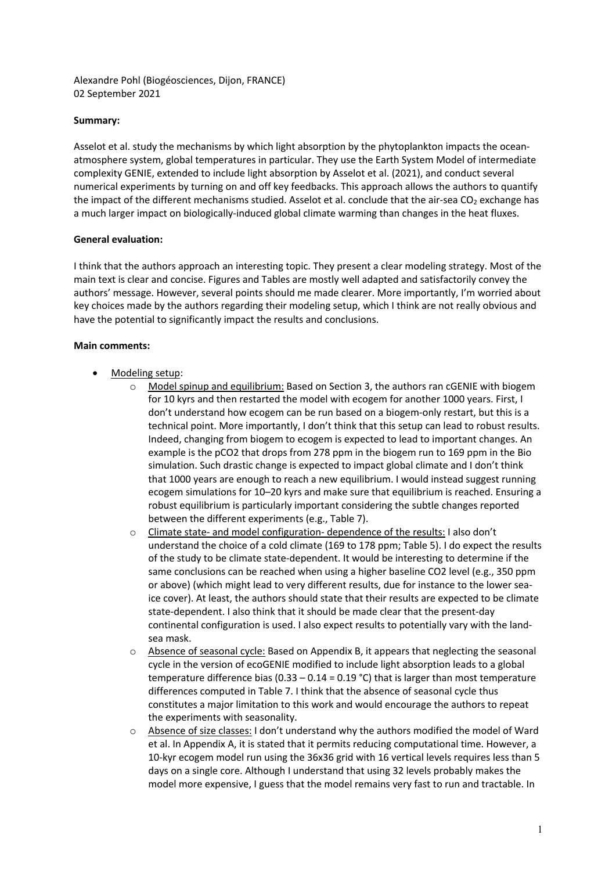Alexandre Pohl (Biogéosciences, Dijon, FRANCE) 02 September 2021

## **Summary:**

Asselot et al. study the mechanisms by which light absorption by the phytoplankton impacts the oceanatmosphere system, global temperatures in particular. They use the Earth System Model of intermediate complexity GENIE, extended to include light absorption by Asselot et al. (2021), and conduct several numerical experiments by turning on and off key feedbacks. This approach allows the authors to quantify the impact of the different mechanisms studied. Asselot et al. conclude that the air-sea CO<sub>2</sub> exchange has a much larger impact on biologically-induced global climate warming than changes in the heat fluxes.

## **General evaluation:**

I think that the authors approach an interesting topic. They present a clear modeling strategy. Most of the main text is clear and concise. Figures and Tables are mostly well adapted and satisfactorily convey the authors' message. However, several points should me made clearer. More importantly, I'm worried about key choices made by the authors regarding their modeling setup, which I think are not really obvious and have the potential to significantly impact the results and conclusions.

## **Main comments:**

- Modeling setup:
	- $\circ$  Model spinup and equilibrium: Based on Section 3, the authors ran cGENIE with biogem for 10 kyrs and then restarted the model with ecogem for another 1000 years. First, I don't understand how ecogem can be run based on a biogem-only restart, but this is a technical point. More importantly, I don't think that this setup can lead to robust results. Indeed, changing from biogem to ecogem is expected to lead to important changes. An example is the pCO2 that drops from 278 ppm in the biogem run to 169 ppm in the Bio simulation. Such drastic change is expected to impact global climate and I don't think that 1000 years are enough to reach a new equilibrium. I would instead suggest running ecogem simulations for 10–20 kyrs and make sure that equilibrium is reached. Ensuring a robust equilibrium is particularly important considering the subtle changes reported between the different experiments (e.g., Table 7).
	- o Climate state- and model configuration- dependence of the results: I also don't understand the choice of a cold climate (169 to 178 ppm; Table 5). I do expect the results of the study to be climate state-dependent. It would be interesting to determine if the same conclusions can be reached when using a higher baseline CO2 level (e.g., 350 ppm or above) (which might lead to very different results, due for instance to the lower seaice cover). At least, the authors should state that their results are expected to be climate state-dependent. I also think that it should be made clear that the present-day continental configuration is used. I also expect results to potentially vary with the landsea mask.
	- $\circ$  Absence of seasonal cycle: Based on Appendix B, it appears that neglecting the seasonal cycle in the version of ecoGENIE modified to include light absorption leads to a global temperature difference bias  $(0.33 - 0.14 = 0.19 \degree C)$  that is larger than most temperature differences computed in Table 7. I think that the absence of seasonal cycle thus constitutes a major limitation to this work and would encourage the authors to repeat the experiments with seasonality.
	- Absence of size classes: I don't understand why the authors modified the model of Ward et al. In Appendix A, it is stated that it permits reducing computational time. However, a 10-kyr ecogem model run using the 36x36 grid with 16 vertical levels requires less than 5 days on a single core. Although I understand that using 32 levels probably makes the model more expensive, I guess that the model remains very fast to run and tractable. In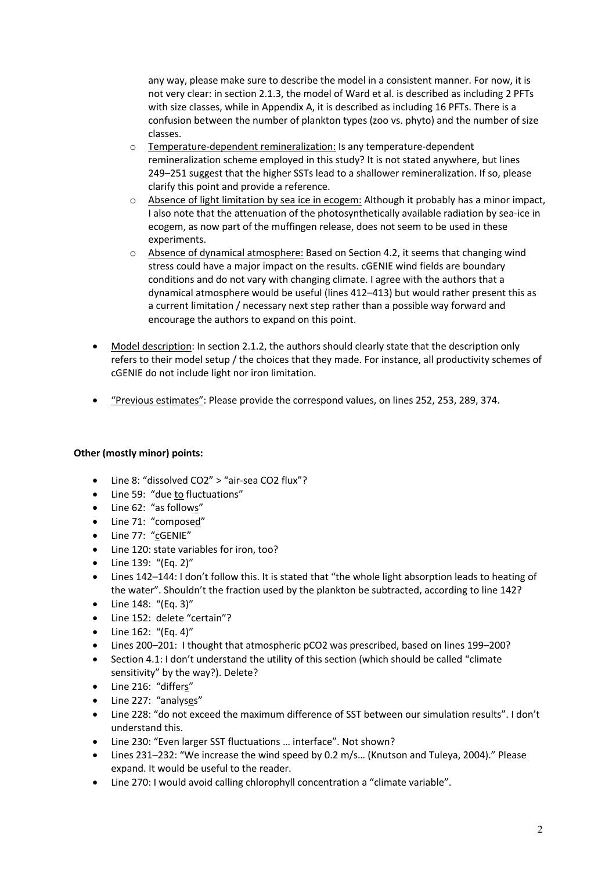any way, please make sure to describe the model in a consistent manner. For now, it is not very clear: in section 2.1.3, the model of Ward et al. is described as including 2 PFTs with size classes, while in Appendix A, it is described as including 16 PFTs. There is a confusion between the number of plankton types (zoo vs. phyto) and the number of size classes.

- o Temperature-dependent remineralization: Is any temperature-dependent remineralization scheme employed in this study? It is not stated anywhere, but lines 249–251 suggest that the higher SSTs lead to a shallower remineralization. If so, please clarify this point and provide a reference.
- $\circ$  Absence of light limitation by sea ice in ecogem: Although it probably has a minor impact, I also note that the attenuation of the photosynthetically available radiation by sea-ice in ecogem, as now part of the muffingen release, does not seem to be used in these experiments.
- o Absence of dynamical atmosphere: Based on Section 4.2, it seems that changing wind stress could have a major impact on the results. cGENIE wind fields are boundary conditions and do not vary with changing climate. I agree with the authors that a dynamical atmosphere would be useful (lines 412–413) but would rather present this as a current limitation / necessary next step rather than a possible way forward and encourage the authors to expand on this point.
- Model description: In section 2.1.2, the authors should clearly state that the description only refers to their model setup / the choices that they made. For instance, all productivity schemes of cGENIE do not include light nor iron limitation.
- "Previous estimates": Please provide the correspond values, on lines 252, 253, 289, 374.

## **Other (mostly minor) points:**

- Line 8: "dissolved CO2" > "air-sea CO2 flux"?
- Line 59: "due to fluctuations"
- Line 62: "as follows"
- Line 71: "composed"
- Line 77: "cGENIE"
- Line 120: state variables for iron, too?
- Line 139: "(Eq. 2)"
- Lines 142–144: I don't follow this. It is stated that "the whole light absorption leads to heating of the water". Shouldn't the fraction used by the plankton be subtracted, according to line 142?
- Line 148: "(Eq. 3)"
- Line 152: delete "certain"?
- Line 162: "(Eq. 4)"
- Lines 200–201: I thought that atmospheric pCO2 was prescribed, based on lines 199–200?
- Section 4.1: I don't understand the utility of this section (which should be called "climate sensitivity" by the way?). Delete?
- Line 216: "differs"
- Line 227: "analyses"
- Line 228: "do not exceed the maximum difference of SST between our simulation results". I don't understand this.
- Line 230: "Even larger SST fluctuations … interface". Not shown?
- Lines 231–232: "We increase the wind speed by 0.2 m/s... (Knutson and Tuleya, 2004)." Please expand. It would be useful to the reader.
- Line 270: I would avoid calling chlorophyll concentration a "climate variable".